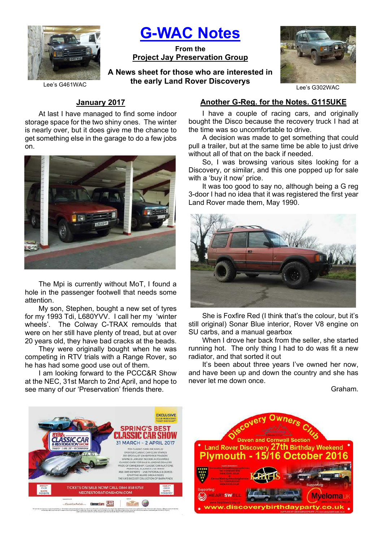

# G-WAC Notes

From the Project Jay Preservation Group

A News sheet for those who are interested in the early Land Rover Discoverys



Lee's G302WAC

Lee's G461WAC

# January 2017

At last I have managed to find some indoor storage space for the two shiny ones. The winter is nearly over, but it does give me the chance to get something else in the garage to do a few jobs on.



The Mpi is currently without MoT, I found a hole in the passenger footwell that needs some attention.

My son, Stephen, bought a new set of tyres for my 1993 Tdi, L680YVV. I call her my 'winter wheels'. The Colway C-TRAX remoulds that were on her still have plenty of tread, but at over 20 years old, they have bad cracks at the beads.

They were originally bought when he was competing in RTV trials with a Range Rover, so he has had some good use out of them.

I am looking forward to the PCCC&R Show at the NEC, 31st March to 2nd April, and hope to see many of our 'Preservation' friends there.

## Another G-Reg. for the Notes. G115UKE

I have a couple of racing cars, and originally bought the Disco because the recovery truck I had at the time was so uncomfortable to drive.

A decision was made to get something that could pull a trailer, but at the same time be able to just drive without all of that on the back if needed.

So, I was browsing various sites looking for a Discovery, or similar, and this one popped up for sale with a 'buy it now' price.

It was too good to say no, although being a G reg 3-door I had no idea that it was registered the first year Land Rover made them, May 1990.



She is Foxfire Red (I think that's the colour, but it's still original) Sonar Blue interior, Rover V8 engine on SU carbs, and a manual gearbox

When I drove her back from the seller, she started running hot. The only thing I had to do was fit a new radiator, and that sorted it out

It's been about three years I've owned her now, and have been up and down the country and she has never let me down once.

Graham.



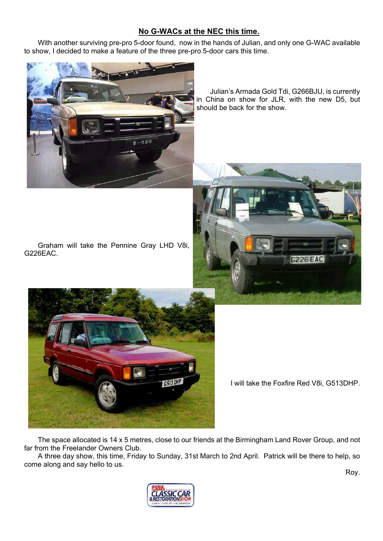# No G-WACs at the NEC this time.

With another surviving pre-pro 5-door found, now in the hands of Julian, and only one G-WAC available to show, I decided to make a feature of the three pre-pro 5-door cars this time.



Julian's Armada Gold Tdi, G266BJU, is currently in China on show for JLR, with the new D5, but should be back for the show.







I will take the Foxfire Red V8i, G513DHP.

The space allocated is 14 x 5 metres, close to our friends at the Birmingham Land Rover Group, and not far from the Freelander Owners Club.

A three day show, this time, Friday to Sunday, 31st March to 2nd April. Patrick will be there to help, so come along and say hello to us.



Roy.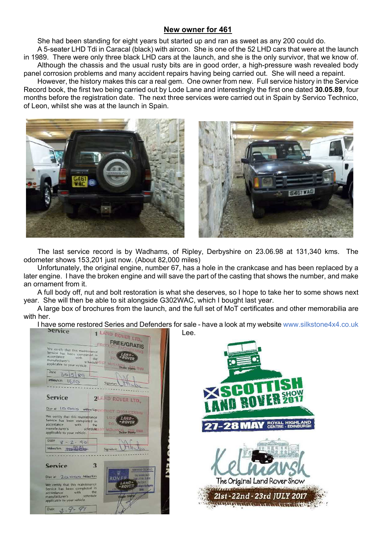## New owner for 461

She had been standing for eight years but started up and ran as sweet as any 200 could do.

A 5-seater LHD Tdi in Caracal (black) with aircon. She is one of the 52 LHD cars that were at the launch in 1989. There were only three black LHD cars at the launch, and she is the only survivor, that we know of. Although the chassis and the usual rusty bits are in good order, a high-pressure wash revealed body panel corrosion problems and many accident repairs having being carried out. She will need a repaint.

However, the history makes this car a real gem. One owner from new. Full service history in the Service Record book, the first two being carried out by Lode Lane and interestingly the first one dated 30.05.89, four months before the registration date. The next three services were carried out in Spain by Servico Technico, of Leon, whilst she was at the launch in Spain.





The last service record is by Wadhams, of Ripley, Derbyshire on 23.06.98 at 131,340 kms. The odometer shows 153,201 just now. (About 82,000 miles)

Unfortunately, the original engine, number 67, has a hole in the crankcase and has been replaced by a later engine. I have the broken engine and will save the part of the casting that shows the number, and make an ornament from it.

A full body off, nut and bolt restoration is what she deserves, so I hope to take her to some shows next year. She will then be able to sit alongside G302WAC, which I bought last year.

A large box of brochures from the launch, and the full set of MoT certificates and other memorabilia are with her.

I have some restored Series and Defenders for sale - have a look at my website www.silkstone4x4.co.uk<br>Price and Defenders for sale - have a look at my website www.silkstone4x4.co.uk



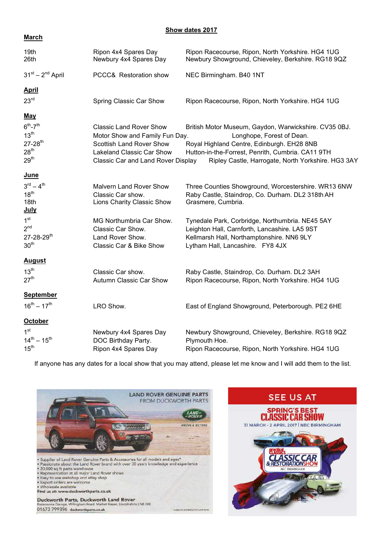#### Show dates 2017

### **March**

| 19th<br>26th                                                                                       | Ripon 4x4 Spares Day<br>Newbury 4x4 Spares Day                                                                                                                         | Ripon Racecourse, Ripon, North Yorkshire. HG4 1UG<br>Newbury Showground, Chieveley, Berkshire. RG18 9QZ                                                                                                                                     |
|----------------------------------------------------------------------------------------------------|------------------------------------------------------------------------------------------------------------------------------------------------------------------------|---------------------------------------------------------------------------------------------------------------------------------------------------------------------------------------------------------------------------------------------|
| $31^{st} - 2^{nd}$ April                                                                           | PCCC& Restoration show                                                                                                                                                 | NEC Birmingham. B40 1NT                                                                                                                                                                                                                     |
| <u>April</u>                                                                                       |                                                                                                                                                                        |                                                                                                                                                                                                                                             |
| 23 <sup>rd</sup>                                                                                   | Spring Classic Car Show                                                                                                                                                | Ripon Racecourse, Ripon, North Yorkshire. HG4 1UG                                                                                                                                                                                           |
| <u>May</u>                                                                                         |                                                                                                                                                                        |                                                                                                                                                                                                                                             |
| $6th - 7th$<br>13 <sup>th</sup><br>$27 - 28$ <sup>th</sup><br>28 <sup>th</sup><br>29 <sup>th</sup> | <b>Classic Land Rover Show</b><br>Motor Show and Family Fun Day.<br><b>Scottish Land Rover Show</b><br>Lakeland Classic Car Show<br>Classic Car and Land Rover Display | British Motor Museum, Gaydon, Warwickshire. CV35 0BJ.<br>Longhope, Forest of Dean.<br>Royal Highland Centre, Edinburgh. EH28 8NB<br>Hutton-in-the-Forrest, Penrith, Cumbria. CA11 9TH<br>Ripley Castle, Harrogate, North Yorkshire. HG3 3AY |
| <u>June</u>                                                                                        |                                                                                                                                                                        |                                                                                                                                                                                                                                             |
| $3^{rd} - 4^{th}$<br>18 <sup>th</sup><br>18th<br><u>July</u>                                       | <b>Malvern Land Rover Show</b><br>Classic Car show.<br>Lions Charity Classic Show                                                                                      | Three Counties Showground, Worcestershire. WR13 6NW<br>Raby Castle, Staindrop, Co. Durham. DL2 318th AH<br>Grasmere, Cumbria.                                                                                                               |
| 1 <sup>st</sup><br>2 <sup>nd</sup><br>27-28-29th<br>30 <sup>th</sup>                               | MG Northumbria Car Show.<br>Classic Car Show.<br>Land Rover Show.<br>Classic Car & Bike Show                                                                           | Tynedale Park, Corbridge, Northumbria. NE45 5AY<br>Leighton Hall, Carnforth, Lancashire. LA5 9ST<br>Kellmarsh Hall, Northamptonshire. NN6 9LY<br>Lytham Hall, Lancashire. FY8 4JX                                                           |
| <b>August</b>                                                                                      |                                                                                                                                                                        |                                                                                                                                                                                                                                             |
| $13^{th}$<br>27 <sup>th</sup>                                                                      | Classic Car show.<br>Autumn Classic Car Show                                                                                                                           | Raby Castle, Staindrop, Co. Durham. DL2 3AH<br>Ripon Racecourse, Ripon, North Yorkshire. HG4 1UG                                                                                                                                            |
| <b>September</b>                                                                                   |                                                                                                                                                                        |                                                                                                                                                                                                                                             |
| $16^{th} - 17^{th}$                                                                                | LRO Show.                                                                                                                                                              | East of England Showground, Peterborough. PE2 6HE                                                                                                                                                                                           |
| <b>October</b>                                                                                     |                                                                                                                                                                        |                                                                                                                                                                                                                                             |
| 1 <sup>st</sup><br>$14^{th} - 15^{th}$<br>15 <sup>th</sup>                                         | Newbury 4x4 Spares Day<br>DOC Birthday Party.<br>Ripon 4x4 Spares Day                                                                                                  | Newbury Showground, Chieveley, Berkshire. RG18 9QZ<br>Plymouth Hoe.<br>Ripon Racecourse, Ripon, North Yorkshire. HG4 1UG                                                                                                                    |

If anyone has any dates for a local show that you may attend, please let me know and I will add them to the list.